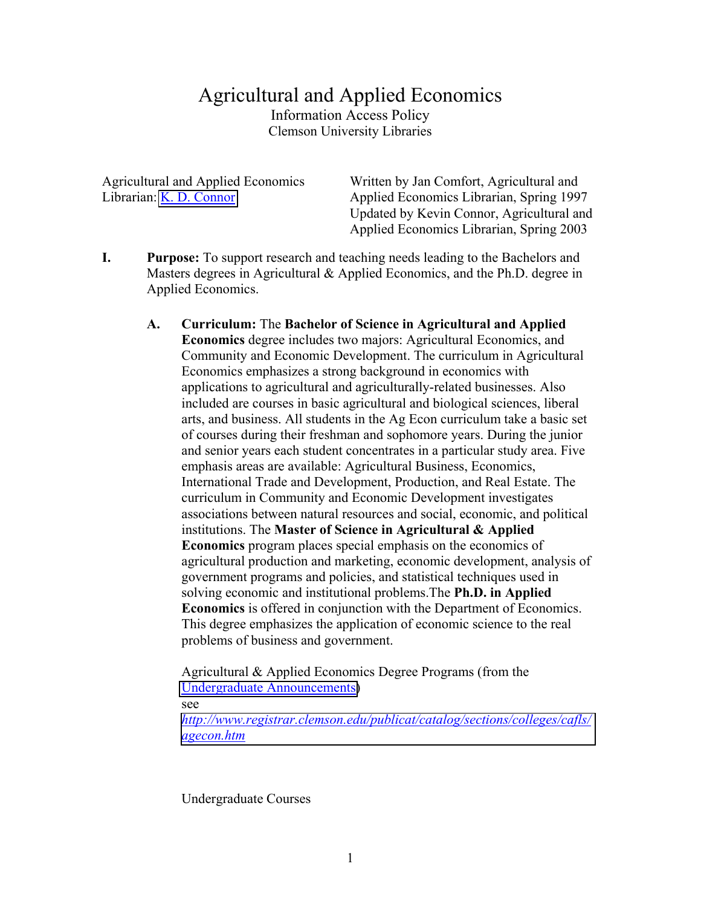# Agricultural and Applied Economics Information Access Policy Clemson University Libraries

Agricultural and Applied Economics Librarian: [K. D. Connor](mailto:connor@clemson.edu)

Written by Jan Comfort, Agricultural and Applied Economics Librarian, Spring 1997 Updated by Kevin Connor, Agricultural and Applied Economics Librarian, Spring 2003

- **I. Purpose:** To support research and teaching needs leading to the Bachelors and Masters degrees in Agricultural & Applied Economics, and the Ph.D. degree in Applied Economics.
	- **A. Curriculum:** The **Bachelor of Science in Agricultural and Applied Economics** degree includes two majors: Agricultural Economics, and Community and Economic Development. The curriculum in Agricultural Economics emphasizes a strong background in economics with applications to agricultural and agriculturally-related businesses. Also included are courses in basic agricultural and biological sciences, liberal arts, and business. All students in the Ag Econ curriculum take a basic set of courses during their freshman and sophomore years. During the junior and senior years each student concentrates in a particular study area. Five emphasis areas are available: Agricultural Business, Economics, International Trade and Development, Production, and Real Estate. The curriculum in Community and Economic Development investigates associations between natural resources and social, economic, and political institutions. The **Master of Science in Agricultural & Applied Economics** program places special emphasis on the economics of agricultural production and marketing, economic development, analysis of government programs and policies, and statistical techniques used in solving economic and institutional problems.The **Ph.D. in Applied Economics** is offered in conjunction with the Department of Economics. This degree emphasizes the application of economic science to the real problems of business and government.

Agricultural & Applied Economics Degree Programs (from the [Undergraduate Announcements\)](http://www.registrar.clemson.edu/publicat/catalog/contents.htm) see

*[http://www.registrar.clemson.edu/publicat/catalog/sections/colleges/cafls/](http://www.registrar.clemson.edu/publicat/catalog/sections/colleges/cafls/agecon.htm) agecon.htm*

Undergraduate Courses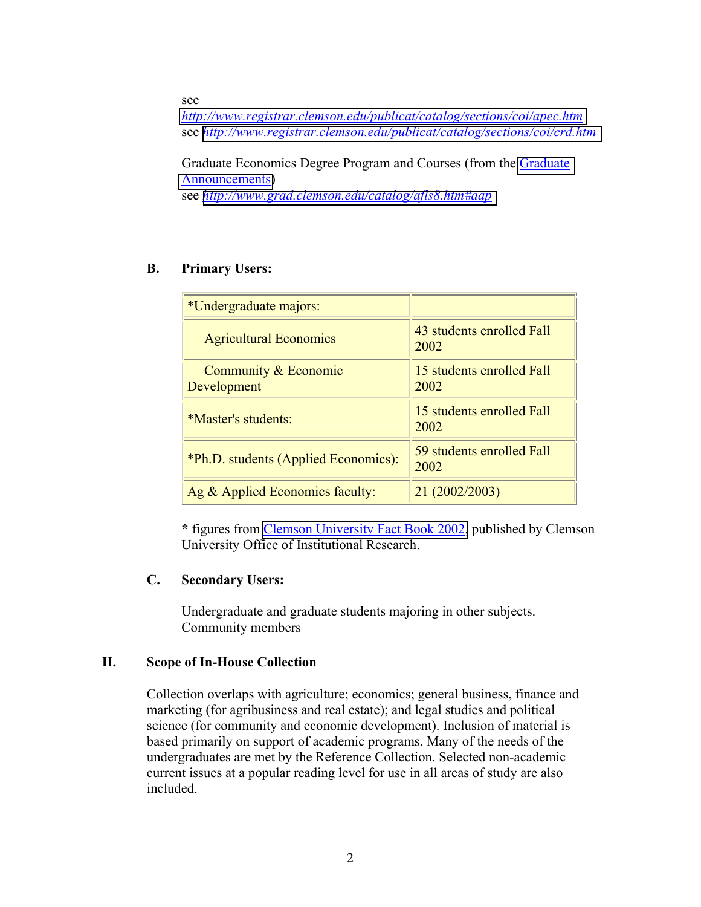see

*<http://www.registrar.clemson.edu/publicat/catalog/sections/coi/apec.htm>* see *<http://www.registrar.clemson.edu/publicat/catalog/sections/coi/crd.htm>*

Graduate Economics Degree Program and Courses (from the [Graduate](http://www.grad.clemson.edu/p_current.html)  [Announcements\)](http://www.grad.clemson.edu/p_current.html) see *<http://www.grad.clemson.edu/catalog/afls8.htm#aap>*

## **B. Primary Users:**

| *Undergraduate majors:               |                                   |
|--------------------------------------|-----------------------------------|
| <b>Agricultural Economics</b>        | 43 students enrolled Fall<br>2002 |
| Community & Economic<br>Development  | 15 students enrolled Fall<br>2002 |
| <i>*Master's students:</i>           | 15 students enrolled Fall<br>2002 |
| *Ph.D. students (Applied Economics): | 59 students enrolled Fall<br>2002 |
| Ag & Applied Economics faculty:      | 21 (2002/2003)                    |

**\*** figures from [Clemson University Fact Book 2002,](http://www.clemson.edu/oir/factsbook.htm) published by Clemson University Office of Institutional Research.

#### **C. Secondary Users:**

Undergraduate and graduate students majoring in other subjects. Community members

## **II. Scope of In-House Collection**

Collection overlaps with agriculture; economics; general business, finance and marketing (for agribusiness and real estate); and legal studies and political science (for community and economic development). Inclusion of material is based primarily on support of academic programs. Many of the needs of the undergraduates are met by the Reference Collection. Selected non-academic current issues at a popular reading level for use in all areas of study are also included.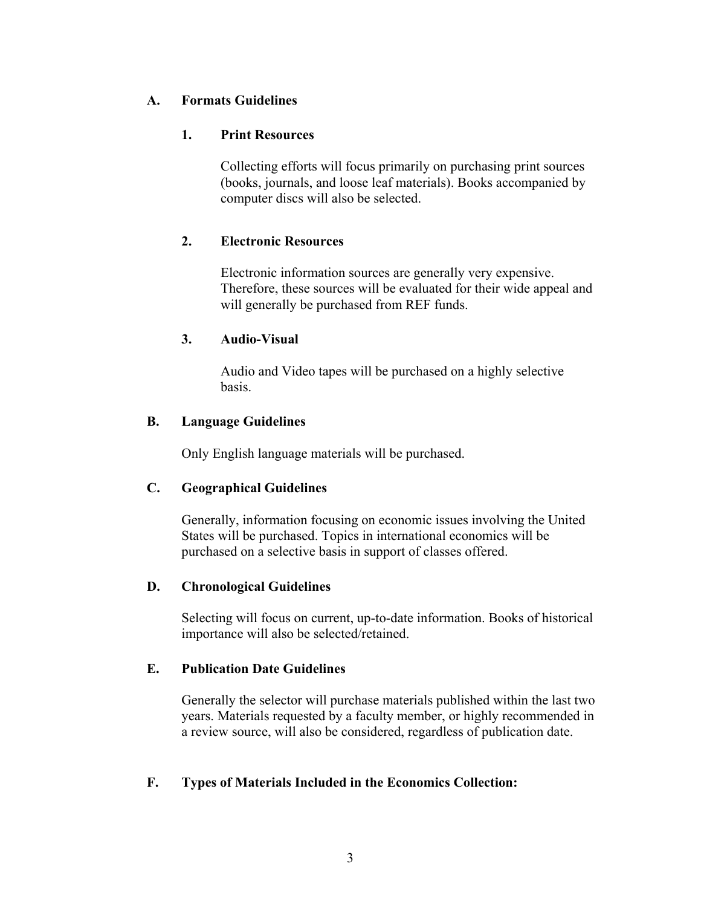## **A. Formats Guidelines**

## **1. Print Resources**

Collecting efforts will focus primarily on purchasing print sources (books, journals, and loose leaf materials). Books accompanied by computer discs will also be selected.

## **2. Electronic Resources**

Electronic information sources are generally very expensive. Therefore, these sources will be evaluated for their wide appeal and will generally be purchased from REF funds.

## **3. Audio-Visual**

Audio and Video tapes will be purchased on a highly selective basis.

## **B. Language Guidelines**

Only English language materials will be purchased.

## **C. Geographical Guidelines**

Generally, information focusing on economic issues involving the United States will be purchased. Topics in international economics will be purchased on a selective basis in support of classes offered.

## **D. Chronological Guidelines**

Selecting will focus on current, up-to-date information. Books of historical importance will also be selected/retained.

## **E. Publication Date Guidelines**

Generally the selector will purchase materials published within the last two years. Materials requested by a faculty member, or highly recommended in a review source, will also be considered, regardless of publication date.

## **F. Types of Materials Included in the Economics Collection:**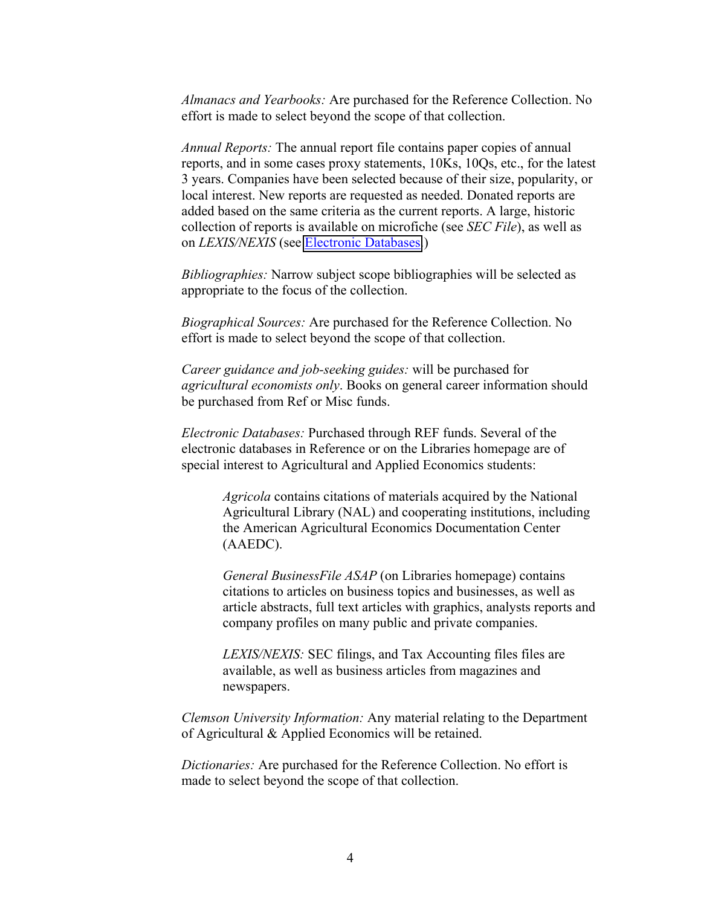*Almanacs and Yearbooks:* Are purchased for the Reference Collection. No effort is made to select beyond the scope of that collection.

*Annual Reports:* The annual report file contains paper copies of annual reports, and in some cases proxy statements, 10Ks, 10Qs, etc., for the latest 3 years. Companies have been selected because of their size, popularity, or local interest. New reports are requested as needed. Donated reports are added based on the same criteria as the current reports. A large, historic collection of reports is available on microfiche (see *SEC File*), as well as on *LEXIS/NEXIS* (see [Electronic Databases.](http://www.lib.clemson.edu/aboutlib/infoaccess/#electr))

*Bibliographies:* Narrow subject scope bibliographies will be selected as appropriate to the focus of the collection.

*Biographical Sources:* Are purchased for the Reference Collection. No effort is made to select beyond the scope of that collection.

*Career guidance and job-seeking guides:* will be purchased for *agricultural economists only*. Books on general career information should be purchased from Ref or Misc funds.

*Electronic Databases:* Purchased through REF funds. Several of the electronic databases in Reference or on the Libraries homepage are of special interest to Agricultural and Applied Economics students:

> *Agricola* contains citations of materials acquired by the National Agricultural Library (NAL) and cooperating institutions, including the American Agricultural Economics Documentation Center (AAEDC).

*General BusinessFile ASAP* (on Libraries homepage) contains citations to articles on business topics and businesses, as well as article abstracts, full text articles with graphics, analysts reports and company profiles on many public and private companies.

*LEXIS/NEXIS:* SEC filings, and Tax Accounting files files are available, as well as business articles from magazines and newspapers.

*Clemson University Information:* Any material relating to the Department of Agricultural & Applied Economics will be retained.

*Dictionaries:* Are purchased for the Reference Collection. No effort is made to select beyond the scope of that collection.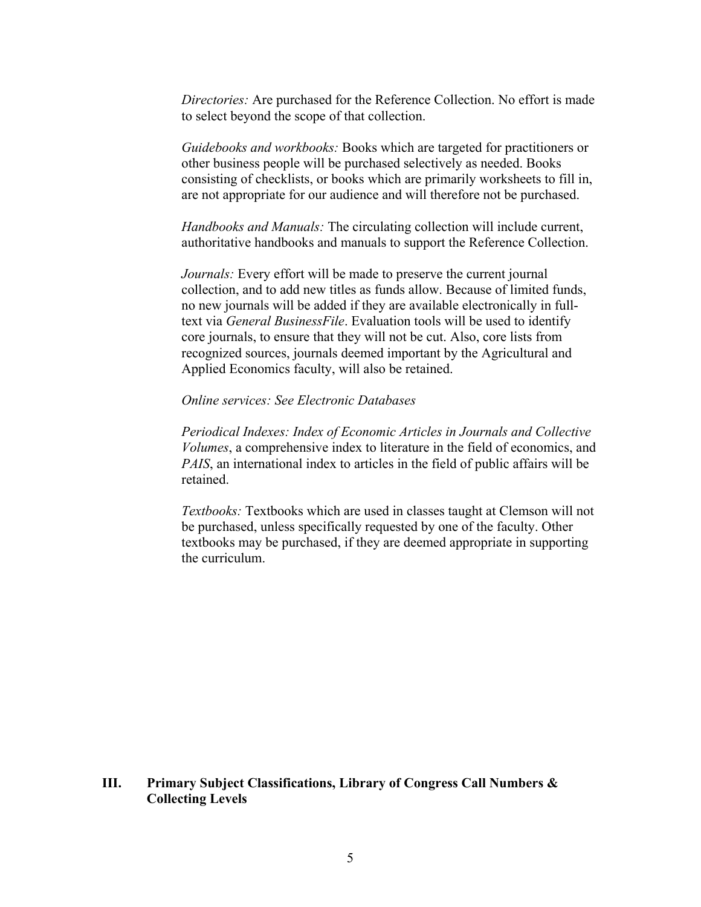*Directories:* Are purchased for the Reference Collection. No effort is made to select beyond the scope of that collection.

*Guidebooks and workbooks:* Books which are targeted for practitioners or other business people will be purchased selectively as needed. Books consisting of checklists, or books which are primarily worksheets to fill in, are not appropriate for our audience and will therefore not be purchased.

*Handbooks and Manuals:* The circulating collection will include current, authoritative handbooks and manuals to support the Reference Collection.

*Journals:* Every effort will be made to preserve the current journal collection, and to add new titles as funds allow. Because of limited funds, no new journals will be added if they are available electronically in fulltext via *General BusinessFile*. Evaluation tools will be used to identify core journals, to ensure that they will not be cut. Also, core lists from recognized sources, journals deemed important by the Agricultural and Applied Economics faculty, will also be retained.

#### *Online services: See Electronic Databases*

*Periodical Indexes: Index of Economic Articles in Journals and Collective Volumes*, a comprehensive index to literature in the field of economics, and *PAIS*, an international index to articles in the field of public affairs will be retained.

*Textbooks:* Textbooks which are used in classes taught at Clemson will not be purchased, unless specifically requested by one of the faculty. Other textbooks may be purchased, if they are deemed appropriate in supporting the curriculum.

#### **III. Primary Subject Classifications, Library of Congress Call Numbers & Collecting Levels**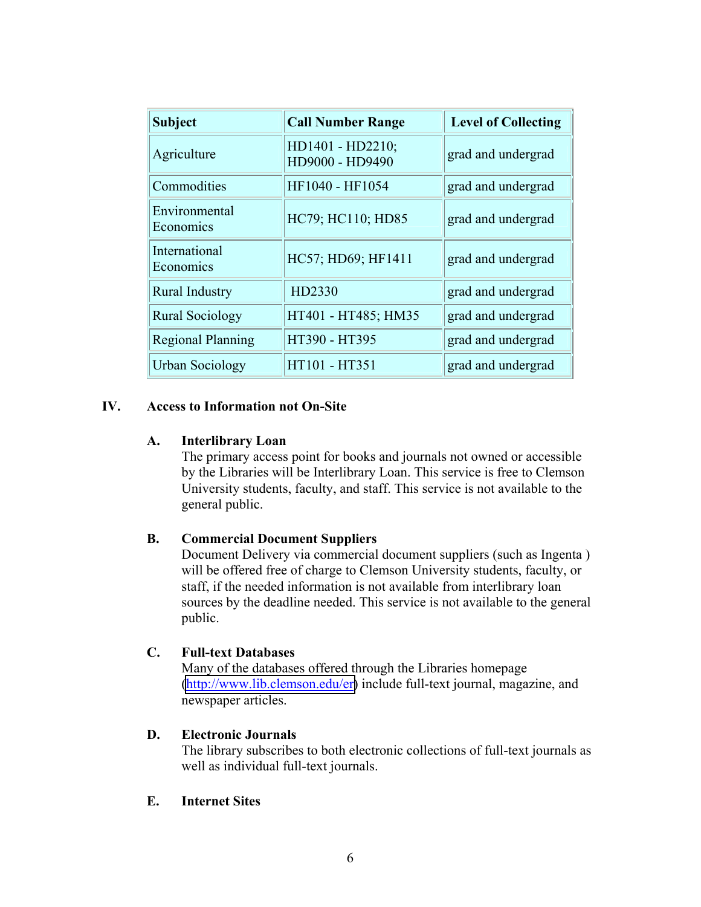| <b>Subject</b>             | <b>Call Number Range</b>            | <b>Level of Collecting</b> |
|----------------------------|-------------------------------------|----------------------------|
| Agriculture                | HD1401 - HD2210;<br>HD9000 - HD9490 | grad and undergrad         |
| Commodities                | HF1040 - HF1054                     | grad and undergrad         |
| Environmental<br>Economics | HC79; HC110; HD85                   | grad and undergrad         |
| International<br>Economics | HC57; HD69; HF1411                  | grad and undergrad         |
| <b>Rural Industry</b>      | HD2330                              | grad and undergrad         |
| <b>Rural Sociology</b>     | HT401 - HT485; HM35                 | grad and undergrad         |
| <b>Regional Planning</b>   | HT390 - HT395                       | grad and undergrad         |
| Urban Sociology            | HT101 - HT351                       | grad and undergrad         |

## **IV. Access to Information not On-Site**

#### **A. Interlibrary Loan**

The primary access point for books and journals not owned or accessible by the Libraries will be Interlibrary Loan. This service is free to Clemson University students, faculty, and staff. This service is not available to the general public.

## **B. Commercial Document Suppliers**

Document Delivery via commercial document suppliers (such as Ingenta ) will be offered free of charge to Clemson University students, faculty, or staff, if the needed information is not available from interlibrary loan sources by the deadline needed. This service is not available to the general public.

#### **C. Full-text Databases**

Many of the databases offered through the Libraries homepage [\(http://www.lib.clemson.edu/er\)](http://www.lib.clemson.edu/er) include full-text journal, magazine, and newspaper articles.

#### **D. Electronic Journals**

The library subscribes to both electronic collections of full-text journals as well as individual full-text journals.

#### **E. Internet Sites**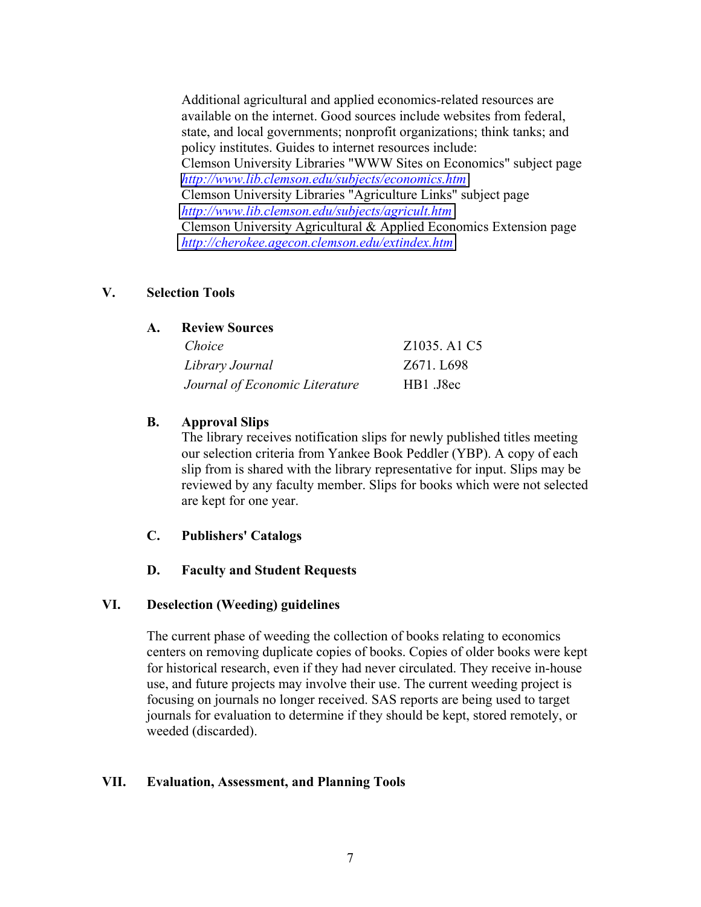Additional agricultural and applied economics-related resources are available on the internet. Good sources include websites from federal, state, and local governments; nonprofit organizations; think tanks; and policy institutes. Guides to internet resources include: Clemson University Libraries "WWW Sites on Economics" subject page *<http://www.lib.clemson.edu/subjects/economics.htm>* Clemson University Libraries "Agriculture Links" subject page *<http://www.lib.clemson.edu/subjects/agricult.htm>* Clemson University Agricultural & Applied Economics Extension page *<http://cherokee.agecon.clemson.edu/extindex.htm>*

#### **V. Selection Tools**

#### **A. Review Sources**

| Choice                         | Z1035, A1 C5 |
|--------------------------------|--------------|
| Library Journal                | Z671. L698   |
| Journal of Economic Literature | HB1 J8ec     |

## **B. Approval Slips**

The library receives notification slips for newly published titles meeting our selection criteria from Yankee Book Peddler (YBP). A copy of each slip from is shared with the library representative for input. Slips may be reviewed by any faculty member. Slips for books which were not selected are kept for one year.

## **C. Publishers' Catalogs**

#### **D. Faculty and Student Requests**

#### **VI. Deselection (Weeding) guidelines**

The current phase of weeding the collection of books relating to economics centers on removing duplicate copies of books. Copies of older books were kept for historical research, even if they had never circulated. They receive in-house use, and future projects may involve their use. The current weeding project is focusing on journals no longer received. SAS reports are being used to target journals for evaluation to determine if they should be kept, stored remotely, or weeded (discarded).

#### **VII. Evaluation, Assessment, and Planning Tools**